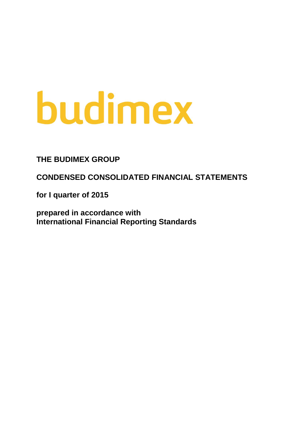# budimex

**THE BUDIMEX GROUP**

**CONDENSED CONSOLIDATED FINANCIAL STATEMENTS**

**for I quarter of 2015**

**prepared in accordance with International Financial Reporting Standards**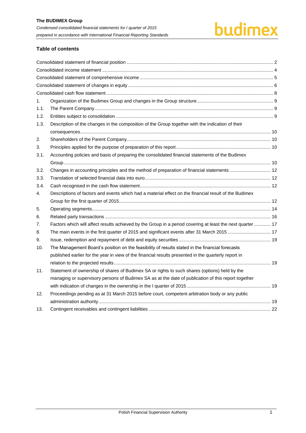# budimex

# **Table of contents**

| 1.   |                                                                                                            |  |
|------|------------------------------------------------------------------------------------------------------------|--|
| 1.1. |                                                                                                            |  |
| 1.2. |                                                                                                            |  |
| 1.3. | Description of the changes in the composition of the Group together with the indication of their           |  |
|      |                                                                                                            |  |
| 2.   |                                                                                                            |  |
| 3.   |                                                                                                            |  |
| 3.1. | Accounting policies and basis of preparing the consolidated financial statements of the Budimex            |  |
|      |                                                                                                            |  |
| 3.2. |                                                                                                            |  |
| 3.3. |                                                                                                            |  |
| 3.4. |                                                                                                            |  |
| 4.   | Descriptions of factors and events which had a material effect on the financial result of the Budimex      |  |
|      |                                                                                                            |  |
| 5.   |                                                                                                            |  |
| 6.   |                                                                                                            |  |
| 7.   | Factors which will affect results achieved by the Group in a period covering at least the next quarter  17 |  |
| 8.   | The main events in the first quarter of 2015 and significant events after 31 March 2015  17                |  |
| 9.   |                                                                                                            |  |
| 10.  | The Management Board's position on the feasibility of results stated in the financial forecasts            |  |
|      | published earlier for the year in view of the financial results presented in the quarterly report in       |  |
|      |                                                                                                            |  |
| 11.  | Statement of ownership of shares of Budimex SA or rights to such shares (options) held by the              |  |
|      | managing or supervisory persons of Budimex SA as at the date of publication of this report together        |  |
|      |                                                                                                            |  |
| 12.  | Proceedings pending as at 31 March 2015 before court, competent arbitration body or any public             |  |
|      |                                                                                                            |  |
| 13.  |                                                                                                            |  |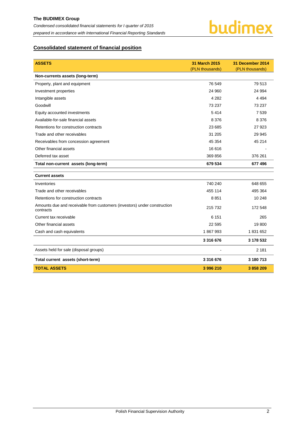

# <span id="page-2-0"></span>**Consolidated statement of financial position**

| <b>ASSETS</b>                                                                         | <b>31 March 2015</b> | 31 December 2014 |
|---------------------------------------------------------------------------------------|----------------------|------------------|
|                                                                                       | (PLN thousands)      | (PLN thousands)  |
| Non-currents assets (long-term)                                                       |                      |                  |
| Property, plant and equipment                                                         | 76 549               | 79 513           |
| Investment properties                                                                 | 24 960               | 24 994           |
| Intangible assets                                                                     | 4 2 8 2              | 4 4 9 4          |
| Goodwill                                                                              | 73 237               | 73 237           |
| Equity accounted investments                                                          | 5414                 | 7539             |
| Available-for-sale financial assets                                                   | 8 3 7 6              | 8 3 7 6          |
| Retentions for construction contracts                                                 | 23 685               | 27 923           |
| Trade and other receivables                                                           | 31 205               | 29 945           |
| Receivables from concession agreement                                                 | 45 354               | 45 214           |
| Other financial assets                                                                | 16 616               |                  |
| Deferred tax asset                                                                    | 369 856              | 376 261          |
| Total non-current assets (long-term)                                                  | 679 534              | 677 496          |
| <b>Current assets</b>                                                                 |                      |                  |
| Inventories                                                                           | 740 240              | 648 655          |
| Trade and other receivables                                                           | 455 114              | 495 364          |
| Retentions for construction contracts                                                 | 8851                 | 10 248           |
| Amounts due and receivable from customers (investors) under construction<br>contracts | 215 732              | 172 548          |
| Current tax receivable                                                                | 6 1 5 1              | 265              |
| Other financial assets                                                                | 22 595               | 19 800           |
| Cash and cash equivalents                                                             | 1867993              | 1831652          |
|                                                                                       | 3 3 1 6 6 7 6        | 3 178 532        |
| Assets held for sale (disposal groups)                                                |                      | 2 1 8 1          |
| Total current assets (short-term)                                                     | 3 3 1 6 6 7 6        | 3 180 713        |
| <b>TOTAL ASSETS</b>                                                                   | 3 996 210            | 3858209          |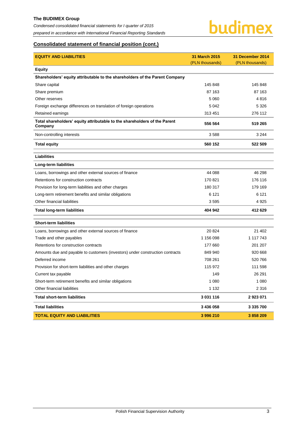#### **The BUDIMEX Group**

*Condensed consolidated financial statements for I quarter of 2015 prepared in accordance with International Financial Reporting Standards*



# **Consolidated statement of financial position (cont.)**

| <b>EQUITY AND LIABILITIES</b>                                                        | 31 March 2015   | 31 December 2014 |
|--------------------------------------------------------------------------------------|-----------------|------------------|
| <b>Equity</b>                                                                        | (PLN thousands) | (PLN thousands)  |
| Shareholders' equity attributable to the shareholders of the Parent Company          |                 |                  |
| Share capital                                                                        | 145 848         | 145 848          |
| Share premium                                                                        | 87 163          | 87 163           |
| Other reserves                                                                       | 5 0 6 0         | 4816             |
| Foreign exchange differences on translation of foreign operations                    | 5 0 4 2         | 5 3 2 6          |
| Retained earnings                                                                    | 313 451         | 276 112          |
| Total shareholders' equity attributable to the shareholders of the Parent<br>Company | 556 564         | 519 265          |
| Non-controlling interests                                                            | 3588            | 3 2 4 4          |
| <b>Total equity</b>                                                                  | 560 152         | 522 509          |
| <b>Liabilities</b>                                                                   |                 |                  |
| Long-term liabilities                                                                |                 |                  |
| Loans, borrowings and other external sources of finance                              | 44 088          | 46 298           |
| Retentions for construction contracts                                                | 170 821         | 176 116          |
| Provision for long-term liabilities and other charges                                | 180 317         | 179 169          |
| Long-term retirement benefits and similar obligations                                | 6 1 2 1         | 6 1 2 1          |
| Other financial liabilities                                                          | 3595            | 4 9 2 5          |
| <b>Total long-term liabilities</b>                                                   | 404 942         | 412 629          |
| <b>Short-term liabilities</b>                                                        |                 |                  |
| Loans, borrowings and other external sources of finance                              | 20 824          | 21 402           |
| Trade and other payables                                                             | 1 156 098       | 1 117 743        |
| Retentions for construction contracts                                                | 177 660         | 201 207          |
| Amounts due and payable to customers (investors) under construction contracts        | 849 940         | 920 668          |
| Deferred income                                                                      | 708 261         | 520 766          |
| Provision for short-term liabilities and other charges                               | 115 972         | 111 598          |
| Current tax payable                                                                  | 149             | 26 291           |
| Short-term retirement benefits and similar obligations                               | 1 0 8 0         | 1 0 8 0          |
| Other financial liabilities                                                          | 1 1 3 2         | 2 3 1 6          |
| <b>Total short-term liabilities</b>                                                  | 3 031 116       | 2923071          |
| <b>Total liabilities</b>                                                             | 3 436 058       | 3 335 700        |
| <b>TOTAL EQUITY AND LIABILITIES</b>                                                  | 3996210         | 3858209          |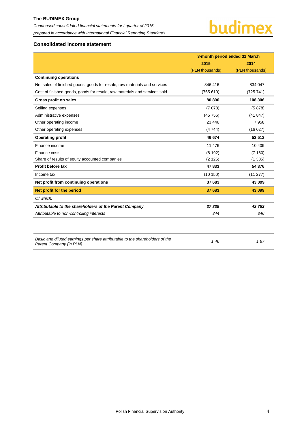# **The BUDIMEX Group**  *Condensed consolidated financial statements for I quarter of 2015*

*prepared in accordance with International Financial Reporting Standards*

# budimex

# <span id="page-4-0"></span>**Consolidated income statement**

|                                                                                                         | 3-month period ended 31 March |                 |  |
|---------------------------------------------------------------------------------------------------------|-------------------------------|-----------------|--|
|                                                                                                         | 2015                          | 2014            |  |
|                                                                                                         | (PLN thousands)               | (PLN thousands) |  |
| <b>Continuing operations</b>                                                                            |                               |                 |  |
| Net sales of finished goods, goods for resale, raw materials and services                               | 846 416                       | 834 047         |  |
| Cost of finished goods, goods for resale, raw materials and services sold                               | (765 610)                     | (725 741)       |  |
| Gross profit on sales                                                                                   | 80 806                        | 108 306         |  |
| Selling expenses                                                                                        | (7078)                        | (5878)          |  |
| Administrative expenses                                                                                 | (45756)                       | (41847)         |  |
| Other operating income                                                                                  | 23 4 46                       | 7958            |  |
| Other operating expenses                                                                                | (4744)                        | (16027)         |  |
| <b>Operating profit</b>                                                                                 | 46 674                        | 52 512          |  |
| Finance income                                                                                          | 11 476                        | 10 409          |  |
| Finance costs                                                                                           | (8192)                        | (7160)          |  |
| Share of results of equity accounted companies                                                          | (2125)                        | (1385)          |  |
| Profit before tax                                                                                       | 47 833                        | 54 376          |  |
| Income tax                                                                                              | (10150)                       | (11 277)        |  |
| Net profit from continuing operations                                                                   | 37 683                        | 43 099          |  |
| Net profit for the period                                                                               | 37 683                        | 43 099          |  |
| Of which:                                                                                               |                               |                 |  |
| Attributable to the shareholders of the Parent Company                                                  | 37 339                        | 42 753          |  |
| Attributable to non-controlling interests                                                               | 344                           | 346             |  |
|                                                                                                         |                               |                 |  |
| Basic and diluted earnings per share attributable to the shareholders of the<br>Parent Company (in PLN) | 1.46                          | 1.67            |  |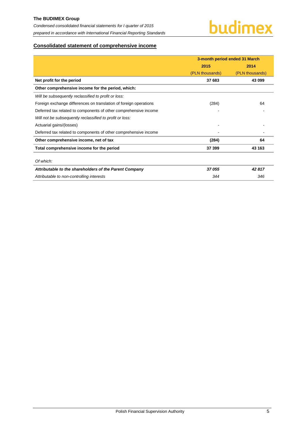

# <span id="page-5-0"></span>**Consolidated statement of comprehensive income**

|                                                                   | 3-month period ended 31 March |                 |  |
|-------------------------------------------------------------------|-------------------------------|-----------------|--|
|                                                                   | 2015                          | 2014            |  |
|                                                                   | (PLN thousands)               | (PLN thousands) |  |
| Net profit for the period                                         | 37 683                        | 43 099          |  |
| Other comprehensive income for the period, which:                 |                               |                 |  |
| Will be subsequently reclassified to profit or loss:              |                               |                 |  |
| Foreign exchange differences on translation of foreign operations | (284)                         | 64              |  |
| Deferred tax related to components of other comprehensive income  |                               |                 |  |
| Will not be subsequently reclassified to profit or loss:          |                               |                 |  |
| Actuarial gains/(losses)                                          |                               |                 |  |
| Deferred tax related to components of other comprehensive income  |                               |                 |  |
| Other comprehensive income, net of tax                            | (284)                         | 64              |  |
| Total comprehensive income for the period                         | 37 399                        | 43 163          |  |
|                                                                   |                               |                 |  |
| Of which:                                                         |                               |                 |  |
| Attributable to the shareholders of the Parent Company            | 37 055                        | 42817           |  |
| Attributable to non-controlling interests                         | 344                           | 346             |  |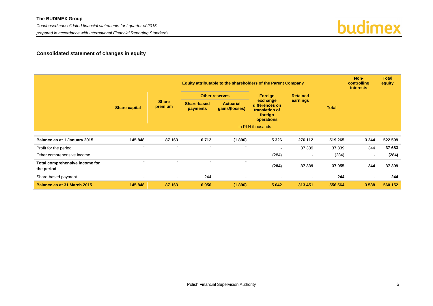*Condensed consolidated financial statements for I quarter of 2015* 

*prepared in accordance with International Financial Reporting Standards*

# budimex

# **Consolidated statement of changes in equity**

<span id="page-6-0"></span>

|                                              |                          |                          |                                |                                    | <b>Equity attributable to the shareholders of the Parent Company</b> |                |                     | Non-<br>controlling<br><b>interests</b> | <b>Total</b><br>equity |  |  |
|----------------------------------------------|--------------------------|--------------------------|--------------------------------|------------------------------------|----------------------------------------------------------------------|----------------|---------------------|-----------------------------------------|------------------------|--|--|
|                                              | <b>Share capital</b>     |                          |                                |                                    | <b>Other reserves</b>                                                |                | Foreign<br>exchange | <b>Retained</b><br>earnings             |                        |  |  |
|                                              |                          | <b>Share</b><br>premium  | <b>Share-based</b><br>payments | <b>Actuarial</b><br>gains/(losses) | differences on<br>translation of<br>foreign<br>operations            |                |                     |                                         |                        |  |  |
|                                              |                          |                          |                                |                                    | in PLN thousands                                                     |                |                     |                                         |                        |  |  |
| Balance as at 1 January 2015                 | 145 848                  | 87 163                   | 6712                           | (1896)                             | 5 3 2 6                                                              | 276 112        | 519 265             | 3 2 4 4                                 | 522 509                |  |  |
| Profit for the period                        | $\blacksquare$           | $\blacksquare$           | $\overline{\phantom{a}}$       | $\overline{\phantom{a}}$           | $\overline{\phantom{a}}$                                             | 37 339         | 37 339              | 344                                     | 37 683                 |  |  |
| Other comprehensive income                   | $\overline{\phantom{a}}$ | $\blacksquare$           | $\overline{\phantom{a}}$       | $\sim$                             | (284)                                                                | $\,$ $\,$      | (284)               | $\overline{\phantom{a}}$                | (284)                  |  |  |
| Total comprehensive income for<br>the period | $\overline{\phantom{a}}$ | $\overline{\phantom{0}}$ | $\overline{\phantom{0}}$       | $\blacksquare$                     | (284)                                                                | 37 339         | 37 055              | 344                                     | 37 399                 |  |  |
| Share-based payment                          | $\blacksquare$           | $\blacksquare$           | 244                            | $\overline{\phantom{0}}$           | $\overline{\phantom{a}}$                                             | $\blacksquare$ | 244                 | $\blacksquare$                          | 244                    |  |  |
| <b>Balance as at 31 March 2015</b>           | 145 848                  | 87 163                   | 6956                           | (1896)                             | 5 0 4 2                                                              | 313 451        | 556 564             | 3588                                    | 560 152                |  |  |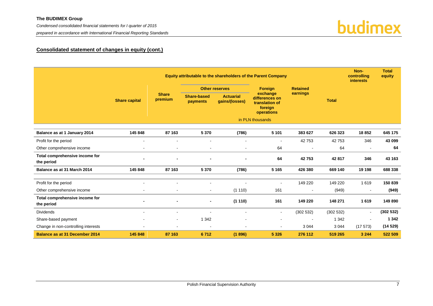*Condensed consolidated financial statements for I quarter of 2015* 

*prepared in accordance with International Financial Reporting Standards*



### **Consolidated statement of changes in equity (cont.)**

|                                              |                      |                          |                              |                                    | Equity attributable to the shareholders of the Parent Company         |                 |              | Non-<br>controlling<br><b>interests</b> | <b>Total</b><br>equity |
|----------------------------------------------|----------------------|--------------------------|------------------------------|------------------------------------|-----------------------------------------------------------------------|-----------------|--------------|-----------------------------------------|------------------------|
|                                              |                      |                          |                              | <b>Other reserves</b>              | Foreign                                                               | <b>Retained</b> |              |                                         |                        |
|                                              | <b>Share capital</b> | <b>Share</b><br>premium  | Share-based<br>payments      | <b>Actuarial</b><br>qains/(losses) | exchange<br>differences on<br>translation of<br>foreign<br>operations | earnings        | <b>Total</b> |                                         |                        |
|                                              |                      |                          |                              |                                    | in PLN thousands                                                      |                 |              |                                         |                        |
| Balance as at 1 January 2014                 | 145 848              | 87 163                   | 5 3 7 0                      | (786)                              | 5 1 0 1                                                               | 383 627         | 626 323      | 18852                                   | 645 175                |
| Profit for the period                        |                      |                          |                              |                                    | $\overline{\phantom{a}}$                                              | 42753           | 42753        | 346                                     | 43 099                 |
| Other comprehensive income                   |                      | $\blacksquare$           | $\blacksquare$               |                                    | 64                                                                    | $\blacksquare$  | 64           | $\overline{\phantom{a}}$                | 64                     |
| Total comprehensive income for<br>the period |                      |                          |                              |                                    | 64                                                                    | 42753           | 42 817       | 346                                     | 43 163                 |
| Balance as at 31 March 2014                  | 145 848              | 87 163                   | 5 3 7 0                      | (786)                              | 5 1 6 5                                                               | 426 380         | 669 140      | 19 198                                  | 688 338                |
| Profit for the period                        | $\sim$               | $\blacksquare$           | $\blacksquare$               |                                    | $\blacksquare$                                                        | 149 220         | 149 220      | 1619                                    | 150 839                |
| Other comprehensive income                   | $\blacksquare$       | $\blacksquare$           | $\blacksquare$               | (1110)                             | 161                                                                   | $\sim$          | (949)        | $\overline{\phantom{a}}$                | (949)                  |
| Total comprehensive income for<br>the period |                      | $\blacksquare$           | $\qquad \qquad \blacksquare$ | (1110)                             | 161                                                                   | 149 220         | 148 271      | 1619                                    | 149 890                |
| <b>Dividends</b>                             | $\blacksquare$       | $\overline{\phantom{a}}$ |                              | $\blacksquare$                     | $\blacksquare$                                                        | (302532)        | (302532)     | $\blacksquare$                          | (302532)               |
| Share-based payment                          |                      | $\blacksquare$           | 1 3 4 2                      |                                    | $\blacksquare$                                                        | $\blacksquare$  | 1 3 4 2      | $\sim$                                  | 1 3 4 2                |
| Change in non-controlling interests          |                      | $\blacksquare$           | $\blacksquare$               | $\blacksquare$                     | $\blacksquare$                                                        | 3 0 4 4         | 3 0 4 4      | (17573)                                 | (14529)                |
| <b>Balance as at 31 December 2014</b>        | 145 848              | 87 163                   | 6712                         | (1896)                             | 5 3 2 6                                                               | 276 112         | 519 265      | 3 2 4 4                                 | 522 509                |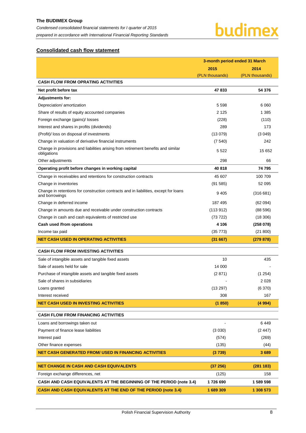# <span id="page-8-0"></span>**Consolidated cash flow statement**

|                                                                                                        | 3-month period ended 31 March |                 |  |
|--------------------------------------------------------------------------------------------------------|-------------------------------|-----------------|--|
|                                                                                                        | 2015                          | 2014            |  |
|                                                                                                        | (PLN thousands)               | (PLN thousands) |  |
| <b>CASH FLOW FROM OPRATING ACTIVITIES</b>                                                              |                               |                 |  |
| Net profit before tax                                                                                  | 47833                         | 54 376          |  |
| <b>Adjustments for:</b>                                                                                |                               |                 |  |
| Depreciation/ amortization                                                                             | 5 5 9 8                       | 6060            |  |
| Share of results of equity accounted companies                                                         | 2 1 2 5                       | 1 3 8 5         |  |
| Foreign exchange (gains)/ losses                                                                       | (228)                         | (110)           |  |
| Interest and shares in profits (dividends)                                                             | 289                           | 173             |  |
| (Profit)/ loss on disposal of investments                                                              | (13079)                       | (3049)          |  |
| Change in valuation of derivative financial instruments                                                | (7540)                        | 242             |  |
| Change in provisions and liabilities arising from retirement benefits and similar<br>obligations       | 5 5 2 2                       | 15 652          |  |
| Other adjustments                                                                                      | 298                           | 66              |  |
| Operating profit before changes in working capital                                                     | 40818                         | 74795           |  |
| Change in receivables and retentions for construction contracts                                        | 45 607                        | 100 709         |  |
| Change in inventories                                                                                  | (91585)                       | 52 095          |  |
| Change in retentions for construction contracts and in liabilities, except for loans<br>and borrowings | 9 4 0 5                       | (316681)        |  |
| Change in deferred income                                                                              | 187 495                       | (62 094)        |  |
| Change in amounts due and receivable under construction contracts                                      | (113.912)                     | (88596)         |  |
| Change in cash and cash equivalents of restricted use                                                  | (73 722)                      | (18, 306)       |  |
| Cash used /from operations                                                                             | 4 1 0 6                       | (258078)        |  |
| Income tax paid                                                                                        | (35 773)                      | (21 800)        |  |
| <b>NET CASH USED IN OPERATING ACTIVITIES</b>                                                           | (31667)                       | (279 878)       |  |
| <b>CASH FLOW FROM INVESTING ACTIVITIES</b>                                                             |                               |                 |  |
| Sale of intangible assets and tangible fixed assets                                                    | 10                            | 435             |  |
| Sale of assets held for sale                                                                           | 14 000                        |                 |  |
| Purchase of intangible assets and tangible fixed assets                                                | (2871)                        | (1254)          |  |
| Sale of shares in subsidiaries                                                                         |                               | 2028            |  |
| Loans granted                                                                                          | (13 297)                      | (6370)          |  |
| Interest received                                                                                      | 308                           | 167             |  |
| <b>NET CASH USED IN INVESTING ACTIVITIES</b>                                                           | (1850)                        | (4994)          |  |
| <b>CASH FLOW FROM FINANCING ACTIVITIES</b>                                                             |                               |                 |  |
| Loans and borrowings taken out                                                                         |                               | 6449            |  |
| Payment of finance lease liabilities                                                                   | (3 030)                       | (2447)          |  |
| Interest paid                                                                                          | (574)                         | (269)           |  |
| Other finance expenses                                                                                 | (135)                         | (44)            |  |
| <b>NET CASH GENERATED FROM/ USED IN FINANCING ACTIVITIES</b>                                           | (3739)                        | 3689            |  |
| <b>NET CHANGE IN CASH AND CASH EQUIVALENTS</b>                                                         | (37256)                       | (281183)        |  |
| Foreign exchange differences, net                                                                      | (125)                         | 158             |  |
| <b>CASH AND CASH EQUIVALENTS AT THE BEGINNING OF THE PERIOD (note 3.4)</b>                             | 1726 690                      | 1 589 598       |  |
| CASH AND CASH EQUIVALENTS AT THE END OF THE PERIOD (note 3.4)                                          | 1 689 309                     | 1 308 573       |  |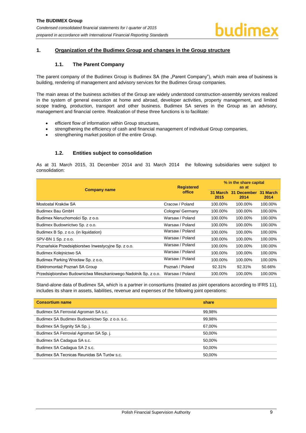#### <span id="page-9-1"></span><span id="page-9-0"></span>**1. Organization of the Budimex Group and changes in the Group structure**

#### **1.1. The Parent Company**

The parent company of the Budimex Group is Budimex SA (the "Parent Company"), which main area of business is building, rendering of management and advisory services for the Budimex Group companies.

The main areas of the business activities of the Group are widely understood construction-assembly services realized in the system of general execution at home and abroad, developer activities, property management, and limited scope trading, production, transport and other business. Budimex SA serves in the Group as an advisory, management and financial centre. Realization of these three functions is to facilitate:

- efficient flow of information within Group structures,
- strengthening the efficiency of cash and financial management of individual Group companies,
- strengthening market position of the entire Group.

#### **1.2. Entities subject to consolidation**

<span id="page-9-2"></span>As at 31 March 2015, 31 December 2014 and 31 March 2014 the following subsidiaries were subject to consolidation:

|                                                                 | <b>Registered</b> |                  | % in the share capital<br>as at |                  |  |  |
|-----------------------------------------------------------------|-------------------|------------------|---------------------------------|------------------|--|--|
| <b>Company name</b>                                             | office            | 31 March<br>2015 | <b>December</b><br>-31<br>2014  | 31 March<br>2014 |  |  |
| Mostostal Kraków SA                                             | Cracow / Poland   | 100.00%          | 100.00%                         | 100.00%          |  |  |
| Budimex Bau GmbH                                                | Cologne/ Germany  | 100.00%          | 100.00%                         | 100.00%          |  |  |
| Budimex Nieruchomości Sp. z o.o.                                | Warsaw / Poland   | 100.00%          | 100.00%                         | 100.00%          |  |  |
| Budimex Budownictwo Sp. z o.o.                                  | Warsaw / Poland   | 100.00%          | 100.00%                         | 100.00%          |  |  |
| Budimex B Sp. z o.o. (in liquidation)                           | Warsaw / Poland   | 100.00%          | 100.00%                         | 100.00%          |  |  |
| SPV-BN 1 Sp. z o.o.                                             | Warsaw / Poland   | 100.00%          | 100.00%                         | 100.00%          |  |  |
| Poznańskie Przedsiębiorstwo Inwestycyjne Sp. z o.o.             | Warsaw / Poland   | 100.00%          | 100.00%                         | 100.00%          |  |  |
| Budimex Kolejnictwo SA                                          | Warsaw / Poland   | 100.00%          | 100.00%                         | 100.00%          |  |  |
| Budimex Parking Wrocław Sp. z o.o.                              | Warsaw / Poland   | 100.00%          | 100.00%                         | 100.00%          |  |  |
| Elektromontaż Poznań SA Group                                   | Poznań / Poland   | 92.31%           | 92.31%                          | 50.66%           |  |  |
| Przedsiębiorstwo Budownictwa Mieszkaniowego Nadolnik Sp. z o.o. | Warsaw / Poland   | 100.00%          | 100.00%                         | 100.00%          |  |  |

Stand-alone data of Budimex SA, which is a partner in consortiums (treated as joint operations according to IFRS 11), includes its share in assets, liabilities, revenue and expenses of the following joint operations:

| <b>Consortium name</b>                         | share  |
|------------------------------------------------|--------|
| Budimex SA Ferrovial Agroman SA s.c.           | 99,98% |
| Budimex SA Budimex Budownictwo Sp. z o.o. s.c. | 99,98% |
| Budimex SA Sygnity SA Sp. j.                   | 67,00% |
| Budimex SA Ferrovial Agroman SA Sp. j.         | 50,00% |
| Budimex SA Cadagua SA s.c.                     | 50,00% |
| Budimex SA Cadagua SA 2 s.c.                   | 50.00% |
| Budimex SA Tecnicas Reunidas SA Turów s.c.     | 50,00% |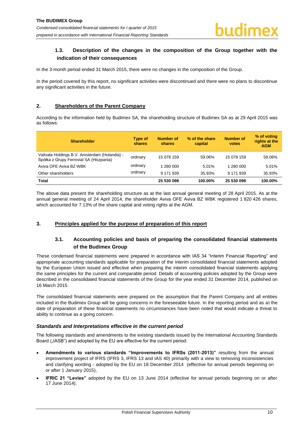# <span id="page-10-0"></span>**1.3. Description of the changes in the composition of the Group together with the indication of their consequences**

In the 3-month period ended 31 March 2015, there were no changes in the composition of the Group.

In the period covered by this report, no significant activities were discontinued and there were no plans to discontinue any significant activities in the future.

#### <span id="page-10-1"></span>**2. Shareholders of the Parent Company**

According to the information held by Budimex SA, the shareholding structure of Budimex SA as at 29 April 2015 was as follows:

| <b>Shareholder</b>                                                                       | Type of<br>shares | <b>Number of</b><br>shares | % of the share<br>capital | <b>Number of</b><br>votes | % of voting<br>rights at the<br><b>AGM</b> |
|------------------------------------------------------------------------------------------|-------------------|----------------------------|---------------------------|---------------------------|--------------------------------------------|
| Valivala Holdings B.V. Amsterdam (Holandia) -<br>Spółka z Grupy Ferrovial SA (Hiszpania) | ordinary          | 15 078 159                 | 59.06%                    | 15 078 159                | 59.06%                                     |
| Aviva OFE Aviva BZ WBK                                                                   | ordinary          | 1 280 000                  | 5.01%                     | 1 280 000                 | 5.01%                                      |
| Other shareholders                                                                       | ordinary          | 9 171 939                  | 35.93%                    | 9 171 939                 | 35.93%                                     |
| Total                                                                                    |                   | 25 530 098                 | 100.00%                   | 25 530 098                | 100.00%                                    |

The above data present the shareholding structure as at the last annual general meeting of 28 April 2015. As at the annual general meeting of 24 April 2014, the shareholder Aviva OFE Aviva BZ WBK registered 1 820 426 shares, which accounted for 7.13% of the share capital and voting rights at the AGM.

#### <span id="page-10-3"></span><span id="page-10-2"></span>**3. Principles applied for the purpose of preparation of this report**

## **3.1. Accounting policies and basis of preparing the consolidated financial statements of the Budimex Group**

These condensed financial statements were prepared in accordance with IAS 34 "Interim Financial Reporting" and appropriate accounting standards applicable for preparation of the interim consolidated financial statements adopted by the European Union issued and effective when preparing the interim consolidated financial statements applying the same principles for the current and comparable period. Details of accounting policies adopted by the Group were described in the consolidated financial statements of the Group for the year ended 31 December 2014, published on 16 March 2015.

The consolidated financial statements were prepared on the assumption that the Parent Company and all entities included in the Budimex Group will be going concerns in the foreseeable future. In the reporting period and as at the date of preparation of these financial statements no circumstances have been noted that would indicate a threat to ability to continue as a going concern.

#### *Standards and Interpretations effective in the current period*

The following standards and amendments to the existing standards issued by the International Accounting Standards Board ("IASB") and adopted by the EU are effective for the current period:

- **Amendments to various standards "Improvements to IFRSs (2011-2013)"** resulting from the annual improvement project of IFRS (IFRS 3, IFRS 13 and IAS 40) primarily with a view to removing inconsistencies and clarifying wording - adopted by the EU on 18 December 2014 (effective for annual periods beginning on or after 1 January 2015),
- **IFRIC 21 "Levies"** adopted by the EU on 13 June 2014 (effective for annual periods beginning on or after 17 June 2014).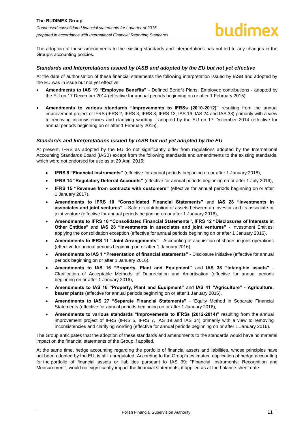The adoption of these amendments to the existing standards and interpretations has not led to any changes in the Group's accounting policies.

#### *Standards and Interpretations issued by IASB and adopted by the EU but not yet effective*

At the date of authorisation of these financial statements the following interpretation issued by IASB and adopted by the EU was in issue but not yet effective:

- **Amendments to IAS 19 "Employee Benefits"**  Defined Benefit Plans: Employee contributions adopted by the EU on 17 December 2014 (effective for annual periods beginning on or after 1 February 2015),
- **Amendments to various standards "Improvements to IFRSs (2010-2012)"** resulting from the annual improvement project of IFRS (IFRS 2, IFRS 3, IFRS 8, IFRS 13, IAS 16, IAS 24 and IAS 38) primarily with a view to removing inconsistencies and clarifying wording - adopted by the EU on 17 December 2014 (effective for annual periods beginning on or after 1 February 2015),

#### *Standards and Interpretations issued by IASB but not yet adopted by the EU*

At present, IFRS as adopted by the EU do not significantly differ from regulations adopted by the International Accounting Standards Board (IASB) except from the following standards and amendments to the existing standards, which were not endorsed for use as at 29 April 2015:

- **IFRS 9 "Financial Instruments"** (effective for annual periods beginning on or after 1 January 2018),
- **IFRS 14 "Regulatory Deferral Accounts"** (effective for annual periods beginning on or after 1 July 2016),
- **IFRS 15 "Revenue from contracts with customers"** (effective for annual periods beginning on or after 1 January 2017),
- **Amendments to IFRS 10 "Consolidated Financial Statements"** and **IAS 28 "Investments in associates and joint ventures"** – Sale or contribution of assets between an investor and its associate or joint venture (effective for annual periods beginning on or after 1 January 2016),
- **Amendments to IFRS 10 "Consolidated Financial Statements", IFRS 12 "Disclosures of Interests in Other Entities"** and **IAS 28 "Investments in associates and joint ventures"** - Investment Entities: applying the consolidation exception (effective for annual periods beginning on or after 1 January 2016),
- **Amendments to IFRS 11 "Joint Arrangements"**  Accounting of acquisition of shares in joint operations (effective for annual periods beginning on or after 1 January 2016),
- **Amendments to IAS 1 "Presentation of financial statements"**  Disclosure initiative (effective for annual periods beginning on or after 1 January 2016),
- **Amendments to IAS 16 "Property, Plant and Equipment"** and **IAS 38 "Intangible assets"**  Clarification of Acceptable Methods of Depreciation and Amortisation (effective for annual periods beginning on or after 1 January 2016),
- **Amendments to IAS 16 "Property, Plant and Equipment"** and **IAS 41 "Agriculture" - Agriculture: bearer plants** (effective for annual periods beginning on or after 1 January 2016),
- **Amendments to IAS 27 "Separate Financial Statements"**  'Equity Method in Separate Financial Statements (effective for annual periods beginning on or after 1 January 2016),
- **Amendments to various standards "Improvements to IFRSs (2012-2014)"** resulting from the annual improvement project of IFRS (IFRS 5, IFRS 7, IAS 19 and IAS 34) primarily with a view to removing inconsistencies and clarifying wording (effective for annual periods beginning on or after 1 January 2016).

The Group anticipates that the adoption of these standards and amendments to the standards would have no material impact on the financial statements of the Group if applied.

At the same time, hedge accounting regarding the portfolio of financial assets and liabilities, whose principles have not been adopted by the EU, is still unregulated. According to the Group's estimates, application of hedge accounting for the portfolio of financial assets or liabilities pursuant to IAS 39: "Financial Instruments: Recognition and Measurement", would not significantly impact the financial statements, if applied as at the balance sheet date.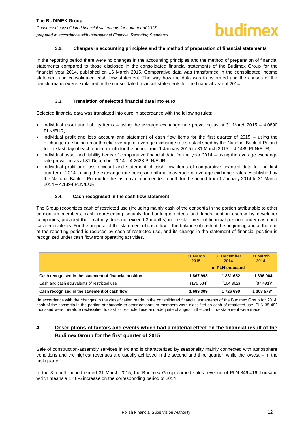#### **3.2. Changes in accounting principles and the method of preparation of financial statements**

<span id="page-12-0"></span>In the reporting period there were no changes in the accounting principles and the method of preparation of financial statements compared to those disclosed in the consolidated financial statements of the Budimex Group for the financial year 2014, published on 16 March 2015. Comparative data was transformed in the consolidated income statement and consolidated cash flow statement. The way how the data was transformed and the causes of the transformation were explained in the consolidated financial statements for the financial year of 2014.

#### **3.3. Translation of selected financial data into euro**

<span id="page-12-1"></span>Selected financial data was translated into euro in accordance with the following rules:

- individual asset and liability items using the average exchange rate prevailing as at 31 March 2015 4.0890 PLN/EUR,
- individual profit and loss account and statement of cash flow items for the first quarter of 2015 using the exchange rate being an arithmetic average of average exchange rates established by the National Bank of Poland for the last day of each ended month for the period from 1 January 2015 to 31 March 2015 – 4.1489 PLN/EUR,
- individual asset and liability items of comparative financial data for the year 2014 using the average exchange rate prevailing as at 31 December 2014 – 4.2623 PLN/EUR,
- individual profit and loss account and statement of cash flow items of comparative financial data for the first quarter of 2014 - using the exchange rate being an arithmetic average of average exchange rates established by the National Bank of Poland for the last day of each ended month for the period from 1 January 2014 to 31 March 2014 – 4.1894 PLN/EUR.

#### **3.4. Cash recognised in the cash flow statement**

<span id="page-12-2"></span>The Group recognizes cash of restricted use (including mainly cash of the consortia in the portion attributable to other consortium members, cash representing security for bank guarantees and funds kept in escrow by developer companies, provided their maturity does not exceed 3 months) in the statement of financial position under cash and cash equivalents. For the purpose of the statement of cash flow – the balance of cash at the beginning and at the end of the reporting period is reduced by cash of restricted use, and its change in the statement of financial position is recognized under cash flow from operating activities.

|                                                        | 31 March<br>2015 | 31 December<br>2014 | 31 March<br>2014 |
|--------------------------------------------------------|------------------|---------------------|------------------|
|                                                        |                  | in PLN thousand     |                  |
| Cash recognised in the statement of financial position | 1867993          | 1831652             | 1 396 064        |
| Cash and cash equivalents of restricted use            | (178684)         | (104962)            | $(87491)^*$      |
| Cash recognised in the statement of cash flow          | 1 689 309        | 1726 690            | 1 308 573*       |

\*in accordance with the changes in the classification made in the consolidated financial statements of the Budimex Group for 2014, cash of the consortia in the portion attributable to other consortium members were classified as cash of restricted use. PLN 35 482 thousand were therefore reclassified to cash of restricted use and adequate changes in the cash flow statement were made.

# <span id="page-12-3"></span>**4. Descriptions of factors and events which had a material effect on the financial result of the Budimex Group for the first quarter of 2015**

Sale of construction-assembly services in Poland is characterized by seasonality mainly connected with atmosphere conditions and the highest revenues are usually achieved in the second and third quarter, while the lowest – in the first quarter.

In the 3-month period ended 31 March 2015, the Budimex Group earned sales revenue of PLN 846 416 thousand which means a 1.48% increase on the corresponding period of 2014.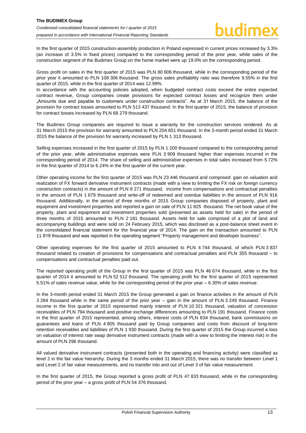In the first quarter of 2015 construction-assembly production in Poland expressed in current prices increased by 3.3% (an increase of 3.5% in fixed prices) compared to the corresponding period of the prior year, while sales of the construction segment of the Budimex Group on the home market were up 19.0% on the corresponding period.

Gross profit on sales in the first quarter of 2015 was PLN 80 806 thousand, while in the corresponding period of the prior year it amounted to PLN 108 306 thousand. The gross sales profitability ratio was therefore 9.55% in the first quarter of 2015, while in the first quarter of 2014 was 12.99%.

In accordance with the accounting policies adopted, when budgeted contract costs exceed the entire expected contract revenue, Group companies create provisions for expected contract losses and recognize them under "Amounts due and payable to customers under construction contracts". As at 31 March 2015, the balance of the provision for contract losses amounted to PLN 513 437 thousand. In the first quarter of 2015, the balance of provision for contract losses increased by PLN 68 279 thousand.

The Budimex Group companies are required to issue a warranty for the construction services rendered. As at 31 March 2015 the provision for warranty amounted to PLN 204 651 thousand. In the 3-month period ended 31 March 2015 the balance of the provision for warranty increased by PLN 1 313 thousand.

Selling expenses increased in the first quarter of 2015 by PLN 1 200 thousand compared to the corresponding period of the prior year, while administrative expenses were PLN 3 909 thousand higher than expenses incurred in the corresponding period of 2014. The share of selling and administrative expenses in total sales increased from 5.72% in the first quarter of 2014 to 6.24% in the first quarter of the current year.

Other operating income for the first quarter of 2015 was PLN 23 446 thousand and comprised: gain on valuation and realization of FX forward derivative instrument contracts (made with a view to limiting the FX risk on foreign currency construction contracts) in the amount of PLN 8 271 thousand, income from compensations and contractual penalties in the amount of PLN 1 679 thousand and write-off of redeemed and overdue liabilities in the amount of PLN 916 thousand. Additionally, in the period of three months of 2015 Group companies disposed of property, plant and equipment and investment properties and reported a gain on sale of PLN 11 825 thousand. The net book value of the property, plant and equipment and investment properties sold (presented as assets held for sale) in the period of three months of 2015 amounted to PLN 2 181 thousand. Assets held for sale comprised of a plot of land and accompanying buildings and were sold on 24 February 2015, which was disclosed as a post-balance sheet event in the consolidated financial statement for the financial year of 2014. The gain on the transaction amounted to PLN 11 819 thousand and was reported in the operating segment "Property management and developer business".

Other operating expenses for the first quarter of 2015 amounted to PLN 4 744 thousand, of which PLN 3 837 thousand related to creation of provisions for compensations and contractual penalties and PLN 355 thousand – to compensations and contractual penalties paid out.

The reported operating profit of the Group in the first quarter of 2015 was PLN 46 674 thousand, while in the first quarter of 2014 it amounted to PLN 52 512 thousand. The operating profit for the first quarter of 2015 represented 5.51% of sales revenue value, while for the corresponding period of the prior year – 6.30% of sales revenue.

In the 3-month period ended 31 March 2015 the Group generated a gain on finance activities in the amount of PLN 3 284 thousand while in the same period of the prior year – gain in the amount of PLN 3 249 thousand. Finance income in the first quarter of 2015 represented mainly interest of PLN 10 321 thousand, valuation of concession receivables of PLN 794 thousand and positive exchange differences amounting to PLN 191 thousand. Finance costs in the first quarter of 2015 represented, among others, interest costs of PLN 834 thousand, bank commissions on guarantees and loans of PLN 4 805 thousand paid by Group companies and costs from discount of long-term retention receivables and liabilities of PLN 1 930 thousand. During the first quarter of 2015 the Group incurred a loss on valuation of interest rate swap derivative instrument contracts (made with a view to limiting the interest risk) in the amount of PLN 296 thousand.

All valued derivative instrument contracts (presented both in the operating and financing activity) were classified as level 2 in the fair value hierarchy. During the 3 months ended 31 March 2015, there was no transfer between Level 1 and Level 2 of fair value measurements, and no transfer into and out of Level 3 of fair value measurement.

In the first quarter of 2015, the Group reported a gross profit of PLN 47 833 thousand, while in the corresponding period of the prior year – a gross profit of PLN 54 376 thousand.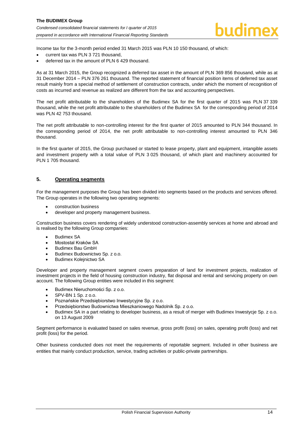Income tax for the 3-month period ended 31 March 2015 was PLN 10 150 thousand, of which:

- current tax was PLN 3 721 thousand,
- deferred tax in the amount of PLN 6 429 thousand.

As at 31 March 2015, the Group recognized a deferred tax asset in the amount of PLN 369 856 thousand, while as at 31 December 2014 – PLN 376 261 thousand. The reported statement of financial position items of deferred tax asset result mainly from a special method of settlement of construction contracts, under which the moment of recognition of costs as incurred and revenue as realized are different from the tax and accounting perspectives.

The net profit attributable to the shareholders of the Budimex SA for the first quarter of 2015 was PLN 37 339 thousand, while the net profit attributable to the shareholders of the Budimex SA for the corresponding period of 2014 was PLN 42 753 thousand.

The net profit attributable to non-controlling interest for the first quarter of 2015 amounted to PLN 344 thousand. In the corresponding period of 2014, the net profit attributable to non-controlling interest amounted to PLN 346 thousand.

In the first quarter of 2015, the Group purchased or started to lease property, plant and equipment, intangible assets and investment property with a total value of PLN 3 025 thousand, of which plant and machinery accounted for PLN 1 705 thousand.

#### <span id="page-14-0"></span>**5. Operating segments**

For the management purposes the Group has been divided into segments based on the products and services offered. The Group operates in the following two operating segments:

- construction business
- developer and property management business.

Construction business covers rendering of widely understood construction-assembly services at home and abroad and is realised by the following Group companies:

- Budimex SA
- Mostostal Kraków SA
- Budimex Bau GmbH
- Budimex Budownictwo Sp. z o.o.
- Budimex Koleinictwo SA

Developer and property management segment covers preparation of land for investment projects, realization of investment projects in the field of housing construction industry, flat disposal and rental and servicing property on own account. The following Group entities were included in this segment:

- Budimex Nieruchomości Sp. z o.o.
- SPV-BN 1 Sp. z o.o.
- Poznańskie Przedsiębiorstwo Inwestycyjne Sp. z o.o.
- Przedsiębiorstwo Budownictwa Mieszkaniowego Nadolnik Sp. z o.o.
- Budimex SA in a part relating to developer business, as a result of merger with Budimex Inwestycje Sp. z o.o. on 13 August 2009

Segment performance is evaluated based on sales revenue, gross profit (loss) on sales, operating profit (loss) and net profit (loss) for the period.

Other business conducted does not meet the requirements of reportable segment. Included in other business are entities that mainly conduct production, service, trading activities or public-private partnerships.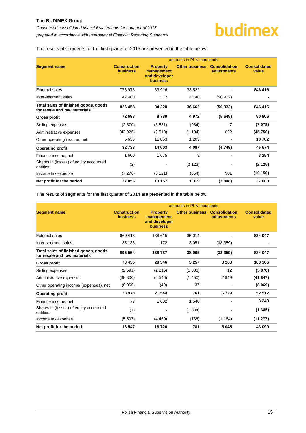The results of segments for the first quarter of 2015 are presented in the table below:

|                                                                      | amounts in PLN thousands               |                                                                   |                       |                                     |                              |
|----------------------------------------------------------------------|----------------------------------------|-------------------------------------------------------------------|-----------------------|-------------------------------------|------------------------------|
| <b>Segment name</b>                                                  | <b>Construction</b><br><b>business</b> | <b>Property</b><br>management<br>and developer<br><b>business</b> | <b>Other business</b> | <b>Consolidation</b><br>adjustments | <b>Consolidated</b><br>value |
| <b>External sales</b>                                                | 778 978                                | 33 916                                                            | 33 522                |                                     | 846 416                      |
| Inter-segment sales                                                  | 47480                                  | 312                                                               | 3 140                 | (50932)                             |                              |
| Total sales of finished goods, goods<br>for resale and raw materials | 826 458                                | 34 228                                                            | 36 662                | (50932)                             | 846 416                      |
| <b>Gross profit</b>                                                  | 72 693                                 | 8789                                                              | 4972                  | (5648)                              | 80 80 6                      |
| Selling expenses                                                     | (2570)                                 | (3531)                                                            | (984)                 | 7                                   | (7078)                       |
| Administrative expenses                                              | (43026)                                | (2518)                                                            | (1104)                | 892                                 | (45756)                      |
| Other operating income, net                                          | 5636                                   | 11 863                                                            | 1 203                 |                                     | 18702                        |
| <b>Operating profit</b>                                              | 32733                                  | 14 603                                                            | 4 0 8 7               | (4 749)                             | 46 674                       |
| Finance income, net                                                  | 1600                                   | 1675                                                              | 9                     |                                     | 3 2 8 4                      |
| Shares in (losses) of equity accounted<br>entities                   | (2)                                    |                                                                   | (2 123)               |                                     | (2125)                       |
| Income tax expense                                                   | (7276)                                 | (3 121)                                                           | (654)                 | 901                                 | (10150)                      |
| Net profit for the period                                            | 27 055                                 | 13 157                                                            | 1 3 1 9               | (3848)                              | 37 683                       |

The results of segments for the first quarter of 2014 are presented in the table below:

|                                                                      | amounts in PLN thousands               |                                                                   |                       |                                     |                              |  |
|----------------------------------------------------------------------|----------------------------------------|-------------------------------------------------------------------|-----------------------|-------------------------------------|------------------------------|--|
| <b>Segment name</b>                                                  | <b>Construction</b><br><b>business</b> | <b>Property</b><br>management<br>and developer<br><b>business</b> | <b>Other business</b> | <b>Consolidation</b><br>adjustments | <b>Consolidated</b><br>value |  |
| <b>External sales</b>                                                | 660 418                                | 138 615                                                           | 35 014                |                                     | 834 047                      |  |
| Inter-segment sales                                                  | 35 136                                 | 172                                                               | 3 0 5 1               | (38 359)                            |                              |  |
| Total sales of finished goods, goods<br>for resale and raw materials | 695 554                                | 138787                                                            | 38 065                | (38359)                             | 834 047                      |  |
| <b>Gross profit</b>                                                  | 73 435                                 | 28 346                                                            | 3 2 5 7               | 3 2 6 8                             | 108 306                      |  |
| Selling expenses                                                     | (2591)                                 | (2 216)                                                           | (1083)                | 12                                  | (5878)                       |  |
| Administrative expenses                                              | (38 800)                               | (4546)                                                            | (1450)                | 2949                                | (41847)                      |  |
| Other operating income/ (expenses), net                              | (8066)                                 | (40)                                                              | 37                    | $\qquad \qquad \blacksquare$        | (8069)                       |  |
| <b>Operating profit</b>                                              | 23 978                                 | 21 544                                                            | 761                   | 6 2 2 9                             | 52 512                       |  |
| Finance income, net                                                  | 77                                     | 1 6 3 2                                                           | 1 540                 |                                     | 3 2 4 9                      |  |
| Shares in (losses) of equity accounted<br>entities                   | (1)                                    |                                                                   | (1384)                |                                     | (1385)                       |  |
| Income tax expense                                                   | (5507)                                 | (4450)                                                            | (136)                 | (1 184)                             | (11 277)                     |  |
| Net profit for the period                                            | 18 547                                 | 18726                                                             | 781                   | 5 0 4 5                             | 43 099                       |  |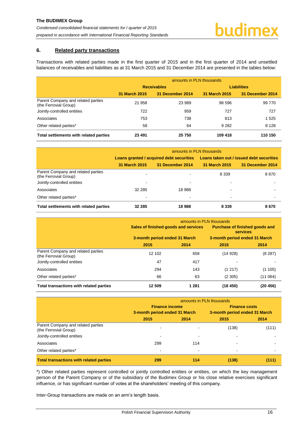#### <span id="page-16-0"></span>**6. Related party transactions**

Transactions with related parties made in the first quarter of 2015 and in the first quarter of 2014 and unsettled balances of receivables and liabilities as at 31 March 2015 and 31 December 2014 are presented in the tables below:

|                                                             | amounts in PLN thousands |                    |                    |                  |  |  |
|-------------------------------------------------------------|--------------------------|--------------------|--------------------|------------------|--|--|
|                                                             |                          | <b>Receivables</b> | <b>Liabilities</b> |                  |  |  |
|                                                             | 31 March 2015            | 31 December 2014   | 31 March 2015      | 31 December 2014 |  |  |
| Parent Company and related parties<br>(the Ferrovial Group) | 21 958                   | 23 989             | 98 596             | 99 770           |  |  |
| Jointly-controlled entities                                 | 722                      | 959                | 727                | 727              |  |  |
| Associates                                                  | 753                      | 738                | 813                | 1 5 2 5          |  |  |
| Other related parties*                                      | 58                       | 64                 | 9 2 8 2            | 8 1 2 8          |  |  |
| Total settlements with related parties                      | 23 4 91                  | 25 750             | 109 418            | 110 150          |  |  |

|                                                             | amounts in PLN thousands |                                          |                                          |                  |  |  |
|-------------------------------------------------------------|--------------------------|------------------------------------------|------------------------------------------|------------------|--|--|
|                                                             |                          | Loans granted / acquired debt securities | Loans taken out / issued debt securities |                  |  |  |
|                                                             | 31 March 2015            | 31 December 2014                         | 31 March 2015                            | 31 December 2014 |  |  |
| Parent Company and related parties<br>(the Ferrovial Group) | -                        |                                          | 8 3 3 9                                  | 8670             |  |  |
| Jointly-controlled entities                                 | $\overline{\phantom{a}}$ | $\blacksquare$                           | ٠                                        |                  |  |  |
| Associates                                                  | 32 285                   | 18 988                                   | ۰                                        |                  |  |  |
| Other related parties*                                      |                          |                                          | ۰                                        |                  |  |  |
| Total settlements with related parties                      | 32 285                   | 18988                                    | 8 3 3 9                                  | 8670             |  |  |

|                                                             | amounts in PLN thousands             |       |                                                   |          |  |  |
|-------------------------------------------------------------|--------------------------------------|-------|---------------------------------------------------|----------|--|--|
|                                                             | Sales of finished goods and services |       | <b>Purchase of finished goods and</b><br>services |          |  |  |
|                                                             | 3-month period ended 31 March        |       | 3-month period ended 31 March                     |          |  |  |
|                                                             | 2015                                 | 2014  | 2015                                              | 2014     |  |  |
| Parent Company and related parties<br>(the Ferrovial Group) | 12 102                               | 658   | (14928)                                           | (8287)   |  |  |
| Jointly-controlled entities                                 | 47                                   | 417   |                                                   |          |  |  |
| Associates                                                  | 294                                  | 143   | (1217)                                            | (1105)   |  |  |
| Other related parties*                                      | 66                                   | 63    | (2305)                                            | (11064)  |  |  |
| Total transactions with related parties                     | 12 509                               | 1 281 | (18450)                                           | (20 456) |  |  |

|                                                             | amounts in PLN thousands      |                          |                               |       |  |  |
|-------------------------------------------------------------|-------------------------------|--------------------------|-------------------------------|-------|--|--|
|                                                             | <b>Finance income</b>         |                          | <b>Finance costs</b>          |       |  |  |
|                                                             | 3-month period ended 31 March |                          | 3-month period ended 31 March |       |  |  |
|                                                             | 2015                          | 2014                     | 2015                          | 2014  |  |  |
| Parent Company and related parties<br>(the Ferrovial Group) |                               |                          | (138)                         | (111) |  |  |
| Jointly-controlled entities                                 |                               |                          |                               |       |  |  |
| Associates                                                  | 299                           | 114                      |                               |       |  |  |
| Other related parties*                                      |                               | $\overline{\phantom{0}}$ | ۰                             |       |  |  |
| <b>Total transactions with related parties</b>              | 299                           | 114                      | (138)                         | (111) |  |  |

\*) Other related parties represent controlled or jointly controlled entities or entities, on which the key management person of the Parent Company or of the subsidiary of the Budimex Group or his close relative exercises significant influence, or has significant number of votes at the shareholders' meeting of this company.

Inter-Group transactions are made on an arm's length basis.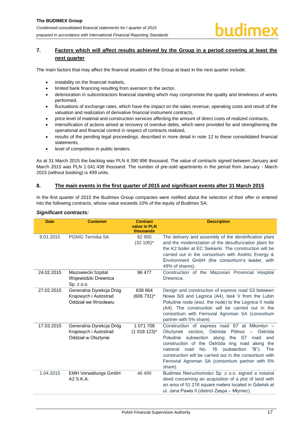# <span id="page-17-0"></span>**7. Factors which will affect results achieved by the Group in a period covering at least the next quarter**

The main factors that may affect the financial situation of the Group at least in the next quarter include:

- instability on the financial markets,
- limited bank financing resulting from aversion to the sector,
- deterioration in subcontractors financial standing which may compromise the quality and timeliness of works performed,
- fluctuations of exchange rates, which have the impact on the sales revenue, operating costs and result of the valuation and realization of derivative financial instrument contracts,
- price level of material and construction services affecting the amount of direct costs of realized contracts,
- intensification of actions aimed at recovery of overdue debts, which were provided for and strengthening the operational and financial control in respect of contracts realized,
- results of the pending legal proceedings, described in more detail in note [12](#page-19-3) to these consolidated financial statements,
- level of competition in public tenders.

As at 31 March 2015 the backlog was PLN 6 390 996 thousand. The value of contracts signed between January and March 2015 was PLN 1 041 438 thousand. The number of pre-sold apartments in the period from January - March 2015 (without booking) is 499 units.

#### <span id="page-17-1"></span>**8. The main events in the first quarter of 2015 and significant events after 31 March 2015**

In the first quarter of 2015 the Budimex Group companies were notified about the selection of their offer or entered into the following contracts, whose value exceeds 10% of the equity of Budimex SA:

#### *Significant contracts:*

| <b>Date</b> | <b>Customer</b>                                                          | <b>Contract</b><br>value in PLN<br>thousands | <b>Description</b>                                                                                                                                                                                                                                                                                                                                                                                                                           |
|-------------|--------------------------------------------------------------------------|----------------------------------------------|----------------------------------------------------------------------------------------------------------------------------------------------------------------------------------------------------------------------------------------------------------------------------------------------------------------------------------------------------------------------------------------------------------------------------------------------|
| 9.01.2015   | <b>PGNiG Termika SA</b>                                                  | 62 950<br>$(32 105)^*$                       | The delivery and assembly of the denitrification plant<br>and the modernization of the desulfurization plant for<br>the K2 boiler at EC Siekierki. The construction will be<br>carried out in the consortium with Andritz Energy &<br>Environment GmbH (the consortium's leader, with<br>49% of shares).                                                                                                                                     |
| 24.02.2015  | Mazowiecki Szpital<br>Wojewódzki Drewnica<br>Sp. z o.o.                  | 96 477                                       | Construction of the Mazovian Provincial Hospital<br>Drewnica.                                                                                                                                                                                                                                                                                                                                                                                |
| 27.02.2015  | Generalna Dyrekcja Dróg<br>Krajowych i Autostrad<br>Oddział we Wrocławiu | 638 664<br>$(606731)^*$                      | Design and construction of express road S3 between<br>Nowa Sól and Legnica (A4), task V from the Lubin<br>Południe node (excl. the node) to the Legnica II node<br>(A4). The construction will be carried out in the<br>consortium with Ferrovial Agroman SA (consortium<br>partner with 5% share).                                                                                                                                          |
| 17.03.2015  | Generalna Dyrekcja Dróg<br>Krajowych i Autostrad<br>Oddział w Olsztynie  | 1 071 708<br>$(1018123)^{*}$                 | Construction of express road S7 at Miłomłyn -<br>Olsztynek section, Ostróda<br>Północ<br>Ostróda<br>$\overline{\phantom{0}}$<br>Południe subsection along<br>the<br>S7<br>road<br>and<br>construction of the Ostróda ring road<br>along<br>the<br>16<br>No.<br>(subsection<br>national<br>road<br>" $B$ ").<br>The<br>construction will be carried out in the consortium with<br>Ferrovial Agroman SA (consortium partner with 5%<br>share). |
| 1.04.2015   | <b>EMH Verwaltungs GmbH</b><br>A2 S.K.A.                                 | 46 400                                       | Budimex Nieruchomości Sp. z o.o. signed a notarial<br>deed concerning an acquisition of a plot of land with<br>an area of 51 216 square meters located in Gdańsk at<br>ul. Jana Pawła II (district Zaspa – Młyniec).                                                                                                                                                                                                                         |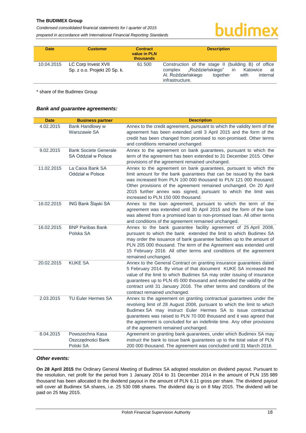*Condensed consolidated financial statements for I quarter of 2015 prepared in accordance with International Financial Reporting Standards*

# budimex

| <b>Date</b> | <b>Customer</b>                                     | <b>Contract</b><br>value in PLN<br><b>thousands</b> | <b>Description</b>                                                                                                                                                               |
|-------------|-----------------------------------------------------|-----------------------------------------------------|----------------------------------------------------------------------------------------------------------------------------------------------------------------------------------|
| 10.04.2015  | LC Corp Invest XVII<br>Sp. z o.o. Projekt 20 Sp. k. | 61 500                                              | Construction of the stage II (building B) of office<br>complex "Roździeńskiego"<br>in<br>Katowice<br>at<br>Al. Roździeńskiego<br>internal<br>together<br>with<br>infrastructure. |

\* share of the Budimex Group

#### *Bank and guarantee agreements:*

| <b>Date</b> | <b>Business partner</b>                             | <b>Description</b>                                                                                                                                                                                                                                                                                                                                                                                       |
|-------------|-----------------------------------------------------|----------------------------------------------------------------------------------------------------------------------------------------------------------------------------------------------------------------------------------------------------------------------------------------------------------------------------------------------------------------------------------------------------------|
| 4.02.2015   | Bank Handlowy w<br>Warszawie SA                     | Annex to the credit agreement, pursuant to which the validity term of the<br>agreement has been extended until 3 April 2015 and the form of the<br>credit has been changed from promised to non-promised. Other terms<br>and conditions remained unchanged.                                                                                                                                              |
| 9.02.2015   | <b>Bank Societe Generale</b><br>SA Oddział w Polsce | Annex to the agreement on bank guarantees, pursuant to which the<br>term of the agreement has been extended to 31 December 2015. Other<br>provisions of the agreement remained unchanged.                                                                                                                                                                                                                |
| 11.02.2015  | La Caixa Bank SA<br>Oddział w Polsce                | Annex to the agreement on bank guarantees, pursuant to which the<br>limit amount for the bank guarantees that can be issued by the bank<br>was increased from PLN 100 000 thousand to PLN 121 000 thousand.<br>Other provisions of the agreement remained unchanged. On 20 April<br>2015 further annex was signed, pursuant to which the limit was<br>increased to PLN 150 000 thousand.                 |
| 16.02.2015  | ING Bank Śląski SA                                  | Annex to the loan agreement, pursuant to which the term of the<br>agreement was extended until 30 April 2015 and the form of the loan<br>was altered from a promised loan to non-promised loan. All other terms<br>and conditions of the agreement remained unchanged.                                                                                                                                   |
| 16.02.2015  | <b>BNP Paribas Bank</b><br>Polska SA                | Annex to the bank guarantee facility agreement of 25 April 2008,<br>pursuant to which the bank extended the limit to which Budimex SA<br>may order the issuance of bank guarantee facilities up to the amount of<br>PLN 205 000 thousand. The term of the Agreement was extended until<br>15 February 2016. All other terms and conditions of the agreement<br>remained unchanged.                       |
| 20.02.2015  | <b>KUKE SA</b>                                      | Annex to the General Contract on granting insurance guarantees dated<br>5 February 2014. By virtue of that document KUKE SA increased the<br>value of the limit to which Budimex SA may order issuing of insurance<br>guarantees up to PLN 45 000 thousand and extended the validity of the<br>contract until 31 January 2016. The other terms and conditions of the<br>contract remained unchanged.     |
| 2.03.2015   | <b>TU Euler Hermes SA</b>                           | Annex to the agreement on granting contractual guarantees under the<br>revolving limit of 28 August 2008, pursuant to which the limit to which<br>Budimex SA may instruct Euler Hermes SA to issue contractual<br>guarantees was raised to PLN 70 000 thousand and it was agreed that<br>the agreement is concluded for an indefinite time. Any other provisions<br>of the agreement remained unchanged. |
| 8.04.2015   | Powszechna Kasa<br>Oszczędności Bank<br>Polski SA   | Agreement on granting bank guarantees, under which Budimex SA may<br>instruct the bank to issue bank guarantees up to the total value of PLN<br>200 000 thousand. The agreement was concluded until 31 March 2016.                                                                                                                                                                                       |

#### *Other events:*

**On 28 April 2015** the Ordinary General Meeting of Budimex SA adopted resolution on dividend payout. Pursuant to the resolution, net profit for the period from 1 January 2014 to 31 December 2014 in the amount of PLN 155 989 thousand has been allocated to the dividend payout in the amount of PLN 6.11 gross per share. The dividend payout will cover all Budimex SA shares, i.e. 25 530 098 shares. The dividend day is on 8 May 2015. The dividend will be paid on 25 May 2015.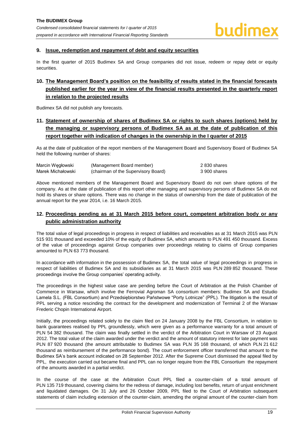#### <span id="page-19-0"></span>**9. Issue, redemption and repayment of debt and equity securities**

In the first quarter of 2015 Budimex SA and Group companies did not issue, redeem or repay debt or equity securities.

# <span id="page-19-1"></span>**10. The Management Board's position on the feasibility of results stated in the financial forecasts published earlier for the year in view of the financial results presented in the quarterly report in relation to the projected results**

Budimex SA did not publish any forecasts.

# <span id="page-19-2"></span>**11. Statement of ownership of shares of Budimex SA or rights to such shares (options) held by the managing or supervisory persons of Budimex SA as at the date of publication of this report together with indication of changes in the ownership in the I quarter of 2015**

As at the date of publication of the report members of the Management Board and Supervisory Board of Budimex SA held the following number of shares:

| Marcin Wegłowski  | (Management Board member)           | 2 830 shares |
|-------------------|-------------------------------------|--------------|
| Marek Michałowski | (chairman of the Supervisory Board) | 3 900 shares |

Above mentioned members of the Management Board and Supervisory Board do not own share options of the company. As at the date of publication of this report other managing and supervisory persons of Budimex SA do not hold its shares or share options. There was no change in the status of ownership from the date of publication of the annual report for the year 2014, i.e. 16 March 2015.

### <span id="page-19-3"></span>**12. Proceedings pending as at 31 March 2015 before court, competent arbitration body or any public administration authority**

The total value of legal proceedings in progress in respect of liabilities and receivables as at 31 March 2015 was PLN 515 931 thousand and exceeded 10% of the equity of Budimex SA, which amounts to PLN 491 450 thousand. Excess of the value of proceedings against Group companies over proceedings relating to claims of Group companies amounted to PLN 63 773 thousand.

In accordance with information in the possession of Budimex SA, the total value of legal proceedings in progress in respect of liabilities of Budimex SA and its subsidiaries as at 31 March 2015 was PLN 289 852 thousand. These proceedings involve the Group companies' operating activity.

The proceedings in the highest value case are pending before the Court of Arbitration at the Polish Chamber of Commerce in Warsaw, which involve the Ferrovial Agroman SA consortium members: Budimex SA and Estudio Lamela S.L. (FBL Consortium) and Przedsiębiorstwo Państwowe "Porty Lotnicze" (PPL). The litigation is the result of PPL serving a notice rescinding the contract for the development and modernization of Terminal 2 of the Warsaw Frederic Chopin International Airport.

Initially, the proceedings related solely to the claim filed on 24 January 2008 by the FBL Consortium, in relation to bank guarantees realised by PPL groundlessly, which were given as a performance warranty for a total amount of PLN 54 382 thousand. The claim was finally settled in the verdict of the Arbitration Court in Warsaw of 23 August 2012. The total value of the claim awarded under the verdict and the amount of statutory interest for late payment was PLN 87 920 thousand (the amount attributable to Budimex SA was PLN 35 168 thousand, of which PLN 21 612 thousand as reimbursement of the performance bond). The court enforcement officer transferred that amount to the Budimex SA's bank account indicated on 28 September 2012. After the Supreme Court dismissed the appeal filed by PPL, the execution carried out became final and PPL can no longer require from the FBL Consortium the repayment of the amounts awarded in a partial verdict.

In the course of the case at the Arbitration Court PPL filed a counter-claim of a total amount of PLN 135 719 thousand, covering claims for the redress of damage, including lost benefits, return of unjust enrichment and liquidated damages. On 31 July and 26 October 2009, PPL filed to the Court of Arbitration subsequent statements of claim including extension of the counter-claim, amending the original amount of the counter-claim from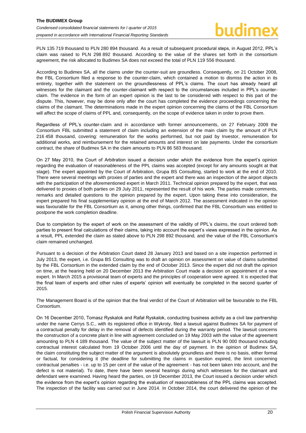PLN 135 719 thousand to PLN 280 894 thousand. As a result of subsequent procedural steps, in August 2012, PPL's claim was raised to PLN 298 892 thousand. According to the value of the shares set forth in the consortium agreement, the risk allocated to Budimex SA does not exceed the total of PLN 119 556 thousand.

According to Budimex SA, all the claims under the counter-suit are groundless. Consequently, on 21 October 2008, the FBL Consortium filed a response to the counter-claim, which contained a motion to dismiss the action in its entirety, together with the statement on the groundlessness of PPL's claims. The court has already heard all witnesses for the claimant and the counter-claimant with respect to the circumstances included in PPL's counterclaim. The evidence in the form of an expert opinion is the last to be considered with respect to this part of the dispute. This, however, may be done only after the court has completed the evidence proceedings concerning the claims of the claimant. The determinations made in the expert opinion concerning the claims of the FBL Consortium will affect the scope of claims of PPL and, consequently, on the scope of evidence taken in order to prove them.

Regardless of PPL's counter-claim and in accordance with former announcements, on 27 February 2009 the Consortium FBL submitted a statement of claim including an extension of the main claim by the amount of PLN 216 458 thousand, covering: remuneration for the works performed, but not paid by Investor, remuneration for additional works, and reimbursement for the retained amounts and interest on late payments. Under the consortium contract, the share of Budimex SA in the claim amounts to PLN 86 583 thousand.

On 27 May 2010, the Court of Arbitration issued a decision under which the evidence from the expert's opinion regarding the evaluation of reasonableness of the PPL claims was accepted (except for any amounts sought at that stage). The expert appointed by the Court of Arbitration, Grupa BS Consulting, started to work at the end of 2010. There were several meetings with proxies of parties and the expert and there was an inspection of the airport objects with the participation of the aforementioned expert in March 2011. Technical opinion prepared by the expert, that was delivered to proxies of both parties on 29 July 2011, represented the result of his work. The parties made comments, remarks and detailed questions to the opinion prepared by the expert. Upon taking these into consideration, the expert prepared his final supplementary opinion at the end of March 2012. The assessment indicated in the opinion was favourable for the FBL Consortium as it, among other things, confirmed that the FBL Consortium was entitled to postpone the work completion deadline.

Due to completion by the expert of work on the assessment of the validity of PPL's claims, the court ordered both parties to present final calculations of their claims, taking into account the expert's views expressed in the opinion. As a result, PPL extended the claim as stated above to PLN 298 892 thousand, and the value of the FBL Consortium's claim remained unchanged.

Pursuant to a decision of the Arbitration Court dated 28 January 2013 and based on a site inspection performed in July 2013, the expert, i.e. Grupa BS Consulting was to draft an opinion on assessment on value of claims submitted by the FBL Consortium in the extended claim by the end of October 2013. Since the expert did not draft the opinion on time, at the hearing held on 20 December 2013 the Arbitration Court made a decision on appointment of a new expert. In March 2015 a provisional team of experts and the principles of cooperation were agreed. It is expected that the final team of experts and other rules of experts' opinion will eventually be completed in the second quarter of 2015.

The Management Board is of the opinion that the final verdict of the Court of Arbitration will be favourable to the FBL Consortium.

On 16 December 2010, Tomasz Ryskalok and Rafał Ryskalok, conducting business activity as a civil law partnership under the name Cerrys S.C., with its registered office in Wykroty, filed a lawsuit against Budimex SA for payment of a contractual penalty for delay in the removal of defects identified during the warranty period. The lawsuit concerns the construction of a concrete plant in line with agreement concluded on 19 May 2003 with the value of the agreement amounting to PLN 4 189 thousand. The value of the subject matter of the lawsuit is PLN 90 000 thousand including contractual interest calculated from 19 October 2006 until the day of payment. In the opinion of Budimex SA, the claim constituting the subject matter of the argument is absolutely groundless and there is no basis, either formal or factual, for considering it (the deadline for submitting the claims in question expired, the limit concerning contractual penalties - i.e. up to 15 per cent of the value of the agreement - has not been taken into account, and the defect is not material). To date, there have been several hearings during which witnesses for the claimant and defendant were examined. Having heard the parties, on 19 December 2013, the Court issued a decision under which the evidence from the expert's opinion regarding the evaluation of reasonableness of the PPL claims was accepted. The inspection of the facility was carried out in June 2014. In October 2014, the court delivered the opinion of the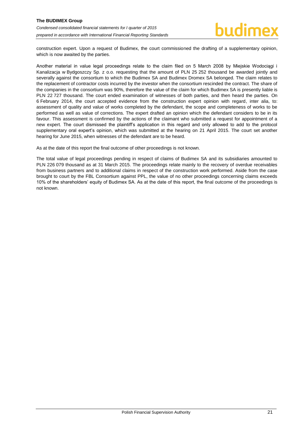construction expert. Upon a request of Budimex, the court commissioned the drafting of a supplementary opinion, which is now awaited by the parties.

Another material in value legal proceedings relate to the claim filed on 5 March 2008 by Miejskie Wodociągi i Kanalizacja w Bydgoszczy Sp. z o.o. requesting that the amount of PLN 25 252 thousand be awarded jointly and severally against the consortium to which the Budimex SA and Budimex Dromex SA belonged. The claim relates to the replacement of contractor costs incurred by the investor when the consortium rescinded the contract. The share of the companies in the consortium was 90%, therefore the value of the claim for which Budimex SA is presently liable is PLN 22 727 thousand. The court ended examination of witnesses of both parties, and then heard the parties. On 6 February 2014, the court accepted evidence from the construction expert opinion with regard, inter alia, to: assessment of quality and value of works completed by the defendant, the scope and completeness of works to be performed as well as value of corrections. The expert drafted an opinion which the defendant considers to be in its favour. This assessment is confirmed by the actions of the claimant who submitted a request for appointment of a new expert. The court dismissed the plaintiff's application in this regard and only allowed to add to the protocol supplementary oral expert's opinion, which was submitted at the hearing on 21 April 2015. The court set another hearing for June 2015, when witnesses of the defendant are to be heard.

As at the date of this report the final outcome of other proceedings is not known.

The total value of legal proceedings pending in respect of claims of Budimex SA and its subsidiaries amounted to PLN 226 079 thousand as at 31 March 2015. The proceedings relate mainly to the recovery of overdue receivables from business partners and to additional claims in respect of the construction work performed. Aside from the case brought to court by the FBL Consortium against PPL, the value of no other proceedings concerning claims exceeds 10% of the shareholders' equity of Budimex SA. As at the date of this report, the final outcome of the proceedings is not known.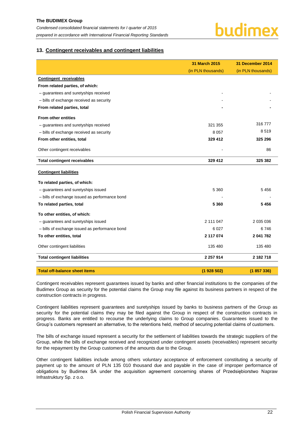

#### <span id="page-22-0"></span>**13. Contingent receivables and contingent liabilities**

|                                                | <b>31 March 2015</b> | 31 December 2014   |
|------------------------------------------------|----------------------|--------------------|
|                                                | (in PLN thousands)   | (in PLN thousands) |
| Contingent receivables                         |                      |                    |
| From related parties, of which:                |                      |                    |
| - guarantees and suretyships received          |                      |                    |
| - bills of exchange received as security       |                      |                    |
| From related parties, total                    |                      |                    |
| From other entities                            |                      |                    |
| - guarantees and suretyships received          | 321 355              | 316777             |
| - bills of exchange received as security       | 8 0 5 7              | 8519               |
| From other entities, total                     | 329 412              | 325 296            |
| Other contingent receivables                   |                      | 86                 |
| <b>Total contingent receivables</b>            | 329 412              | 325 382            |
| <b>Contingent liabilities</b>                  |                      |                    |
| To related parties, of which:                  |                      |                    |
| - guarantees and suretyships issued            | 5 3 6 0              | 5456               |
| - bills of exchange issued as performance bond |                      |                    |
| To related parties, total                      | 5 3 6 0              | 5456               |
| To other entities, of which:                   |                      |                    |
| - guarantees and suretyships issued            | 2 111 047            | 2 035 036          |
| - bills of exchange issued as performance bond | 6 0 27               | 6746               |
| To other entities, total                       | 2 117 074            | 2 041 782          |
| Other contingent liabilities                   | 135 480              | 135 480            |
| <b>Total contingent liabilities</b>            | 2 257 914            | 2 182 718          |
| <b>Total off-balance sheet items</b>           | (1928502)            | (1857336)          |

Contingent receivables represent guarantees issued by banks and other financial institutions to the companies of the Budimex Group as security for the potential claims the Group may file against its business partners in respect of the construction contracts in progress.

Contingent liabilities represent guarantees and suretyships issued by banks to business partners of the Group as security for the potential claims they may be filed against the Group in respect of the construction contracts in progress. Banks are entitled to recourse the underlying claims to Group companies. Guarantees issued to the Group's customers represent an alternative, to the retentions held, method of securing potential claims of customers.

The bills of exchange issued represent a security for the settlement of liabilities towards the strategic suppliers of the Group, while the bills of exchange received and recognized under contingent assets (receivables) represent security for the repayment by the Group customers of the amounts due to the Group.

Other contingent liabilities include among others voluntary acceptance of enforcement constituting a security of payment up to the amount of PLN 135 010 thousand due and payable in the case of improper performance of obligations by Budimex SA under the acquisition agreement concerning shares of Przedsiębiorstwo Napraw Infrastruktury Sp. z o.o.